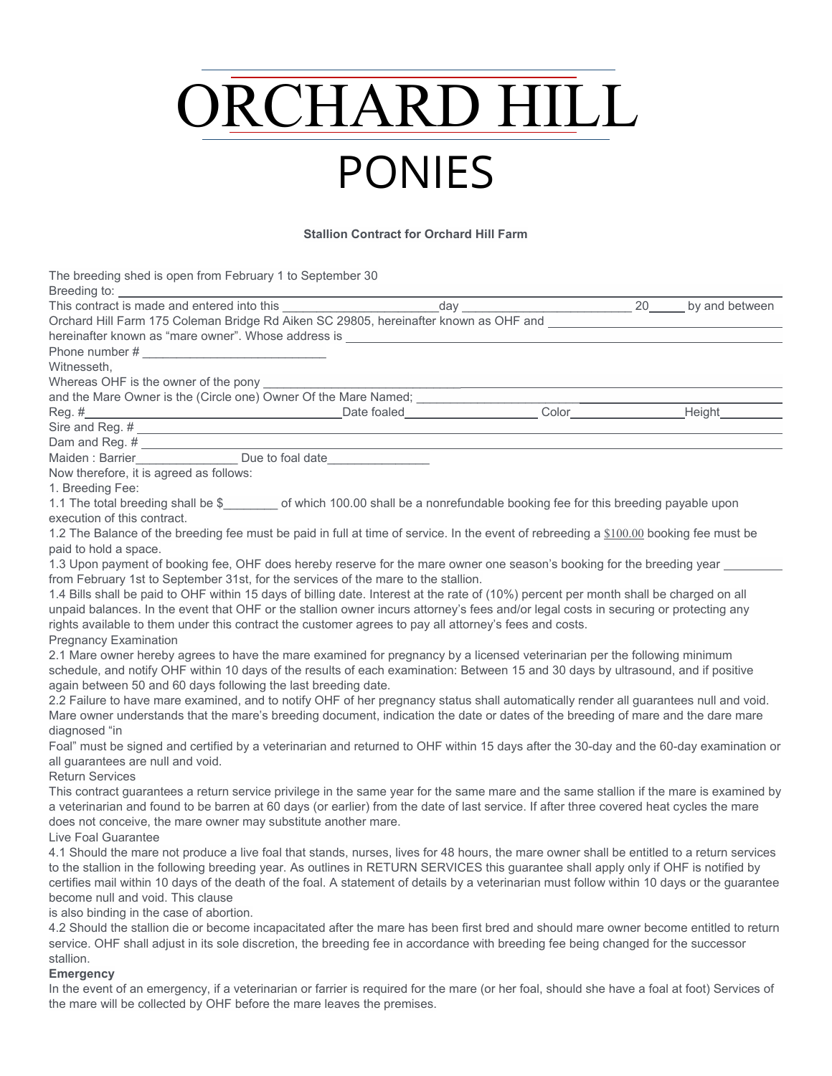# ORCHARD HILL PONIES

#### **Stallion Contract for Orchard Hill Farm**

The breeding shed is open from February 1 to September 30

| Breeding to:                                                                                                                                 |  |  |  |  |  |
|----------------------------------------------------------------------------------------------------------------------------------------------|--|--|--|--|--|
|                                                                                                                                              |  |  |  |  |  |
|                                                                                                                                              |  |  |  |  |  |
| hereinafter known as "mare owner". Whose address is ____________________________                                                             |  |  |  |  |  |
|                                                                                                                                              |  |  |  |  |  |
| Witnesseth.                                                                                                                                  |  |  |  |  |  |
| Whereas OHF is the owner of the pony                                                                                                         |  |  |  |  |  |
|                                                                                                                                              |  |  |  |  |  |
|                                                                                                                                              |  |  |  |  |  |
|                                                                                                                                              |  |  |  |  |  |
|                                                                                                                                              |  |  |  |  |  |
| Maiden: Barrier Due to foal date                                                                                                             |  |  |  |  |  |
| Now therefore, it is agreed as follows:                                                                                                      |  |  |  |  |  |
| 1. Breeding Fee:                                                                                                                             |  |  |  |  |  |
| 1.1 The total breeding shall be \$ ________ of which 100.00 shall be a nonrefundable booking fee for this breeding payable upon              |  |  |  |  |  |
| execution of this contract.                                                                                                                  |  |  |  |  |  |
| 1.2 The Balance of the breeding fee must be paid in full at time of service. In the event of rebreeding a \$100.00 booking fee must be       |  |  |  |  |  |
| paid to hold a space.                                                                                                                        |  |  |  |  |  |
| 1.3 Upon payment of booking fee, OHF does hereby reserve for the mare owner one season's booking for the breeding year _____                 |  |  |  |  |  |
| from February 1st to September 31st, for the services of the mare to the stallion.                                                           |  |  |  |  |  |
| 1.4 Bills shall be paid to OHF within 15 days of billing date. Interest at the rate of (10%) percent per month shall be charged on all       |  |  |  |  |  |
| unpaid balances. In the event that OHF or the stallion owner incurs attorney's fees and/or legal costs in securing or protecting any         |  |  |  |  |  |
| rights available to them under this contract the customer agrees to pay all attorney's fees and costs.                                       |  |  |  |  |  |
| <b>Pregnancy Examination</b>                                                                                                                 |  |  |  |  |  |
| 2.1 Mare owner hereby agrees to have the mare examined for pregnancy by a licensed veterinarian per the following minimum                    |  |  |  |  |  |
| schedule, and notify OHF within 10 days of the results of each examination: Between 15 and 30 days by ultrasound, and if positive            |  |  |  |  |  |
| again between 50 and 60 days following the last breeding date.                                                                               |  |  |  |  |  |
| 2.2 Failure to have mare examined, and to notify OHF of her pregnancy status shall automatically render all guarantees null and void.        |  |  |  |  |  |
| Mare owner understands that the mare's breeding document, indication the date or dates of the breeding of mare and the dare mare             |  |  |  |  |  |
| diagnosed "in                                                                                                                                |  |  |  |  |  |
| Foal" must be signed and certified by a veterinarian and returned to OHF within 15 days after the 30-day and the 60-day examination or       |  |  |  |  |  |
| all quarantees are null and void.                                                                                                            |  |  |  |  |  |
| <b>Return Services</b>                                                                                                                       |  |  |  |  |  |
| This contract guarantees a return service privilege in the same year for the same mare and the same stallion if the mare is examined by      |  |  |  |  |  |
| a veterinarian and found to be barren at 60 days (or earlier) from the date of last service. If after three covered heat cycles the mare     |  |  |  |  |  |
| does not conceive, the mare owner may substitute another mare.                                                                               |  |  |  |  |  |
| Live Foal Guarantee                                                                                                                          |  |  |  |  |  |
| 4.1 Should the mare not produce a live foal that stands, nurses, lives for 48 hours, the mare owner shall be entitled to a return services   |  |  |  |  |  |
| to the stallion in the following breeding year. As outlines in RETURN SERVICES this guarantee shall apply only if OHF is notified by         |  |  |  |  |  |
| certifies mail within 10 days of the death of the foal. A statement of details by a veterinarian must follow within 10 days or the guarantee |  |  |  |  |  |
| become null and void. This clause                                                                                                            |  |  |  |  |  |
| is also binding in the case of abortion.                                                                                                     |  |  |  |  |  |
| 4.2 Should the stallion die or become incapacitated after the mare has been first bred and should mare owner become entitled to return       |  |  |  |  |  |
| service. OHF shall adjust in its sole discretion, the breeding fee in accordance with breeding fee being changed for the successor           |  |  |  |  |  |
| stallion.                                                                                                                                    |  |  |  |  |  |
| <b>Emergency</b>                                                                                                                             |  |  |  |  |  |

In the event of an emergency, if a veterinarian or farrier is required for the mare (or her foal, should she have a foal at foot) Services of the mare will be collected by OHF before the mare leaves the premises.